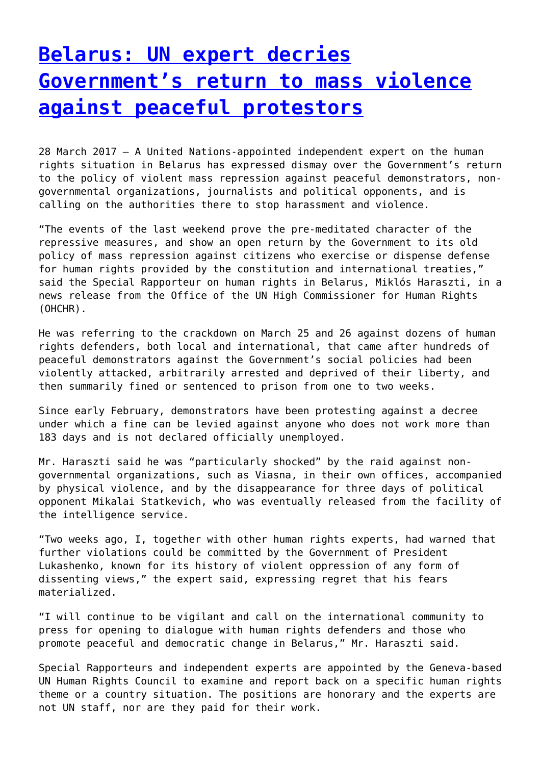### **[Belarus: UN expert decries](http://www.government-world.com/belarus-un-expert-decries-governments-return-to-mass-violence-against-peaceful-protestors/) [Government's return to mass violence](http://www.government-world.com/belarus-un-expert-decries-governments-return-to-mass-violence-against-peaceful-protestors/) [against peaceful protestors](http://www.government-world.com/belarus-un-expert-decries-governments-return-to-mass-violence-against-peaceful-protestors/)**

28 March 2017 – A United Nations-appointed independent expert on the human rights situation in Belarus has expressed dismay over the Government's return to the policy of violent mass repression against peaceful demonstrators, nongovernmental organizations, journalists and political opponents, and is calling on the authorities there to stop harassment and violence.

"The events of the last weekend prove the pre-meditated character of the repressive measures, and show an open return by the Government to its old policy of mass repression against citizens who exercise or dispense defense for human rights provided by the constitution and international treaties," said the Special Rapporteur on human rights in Belarus, Miklós Haraszti, in a news release from the Office of the UN High Commissioner for Human Rights (OHCHR).

He was referring to the crackdown on March 25 and 26 against dozens of human rights defenders, both local and international, that came after hundreds of peaceful demonstrators against the Government's social policies had been violently attacked, arbitrarily arrested and deprived of their liberty, and then summarily fined or sentenced to prison from one to two weeks.

Since early February, demonstrators have been protesting against a decree under which a fine can be levied against anyone who does not work more than 183 days and is not declared officially unemployed.

Mr. Haraszti said he was "particularly shocked" by the raid against nongovernmental organizations, such as Viasna, in their own offices, accompanied by physical violence, and by the disappearance for three days of political opponent Mikalai Statkevich, who was eventually released from the facility of the intelligence service.

"Two weeks ago, I, together with other human rights experts, had warned that further violations could be committed by the Government of President Lukashenko, known for its history of violent oppression of any form of dissenting views," the expert said, expressing regret that his fears materialized.

"I will continue to be vigilant and call on the international community to press for opening to dialogue with human rights defenders and those who promote peaceful and democratic change in Belarus," Mr. Haraszti said.

Special Rapporteurs and independent experts are appointed by the Geneva-based UN Human Rights Council to examine and report back on a specific human rights theme or a country situation. The positions are honorary and the experts are not UN staff, nor are they paid for their work.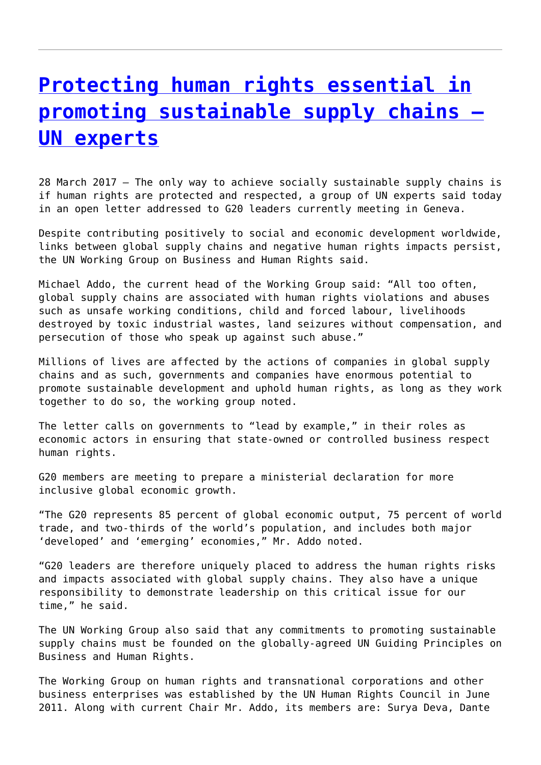## **[Protecting human rights essential in](http://www.government-world.com/protecting-human-rights-essential-in-promoting-sustainable-supply-chains-un-experts/) [promoting sustainable supply chains –](http://www.government-world.com/protecting-human-rights-essential-in-promoting-sustainable-supply-chains-un-experts/) [UN experts](http://www.government-world.com/protecting-human-rights-essential-in-promoting-sustainable-supply-chains-un-experts/)**

28 March 2017 – The only way to achieve socially sustainable supply chains is if human rights are protected and respected, a group of UN experts said today in an open letter addressed to G20 leaders currently meeting in Geneva.

Despite contributing positively to social and economic development worldwide, links between global supply chains and negative human rights impacts persist, the UN Working Group on Business and Human Rights said.

Michael Addo, the current head of the Working Group said: "All too often, global supply chains are associated with human rights violations and abuses such as unsafe working conditions, child and forced labour, livelihoods destroyed by toxic industrial wastes, land seizures without compensation, and persecution of those who speak up against such abuse."

Millions of lives are affected by the actions of companies in global supply chains and as such, governments and companies have enormous potential to promote sustainable development and uphold human rights, as long as they work together to do so, the working group noted.

The letter calls on governments to "lead by example," in their roles as economic actors in ensuring that state-owned or controlled business respect human rights.

G20 members are meeting to prepare a ministerial declaration for more inclusive global economic growth.

"The G20 represents 85 percent of global economic output, 75 percent of world trade, and two-thirds of the world's population, and includes both major 'developed' and 'emerging' economies," Mr. Addo noted.

"G20 leaders are therefore uniquely placed to address the human rights risks and impacts associated with global supply chains. They also have a unique responsibility to demonstrate leadership on this critical issue for our time," he said.

The UN Working Group also said that any commitments to promoting sustainable supply chains must be founded on the globally-agreed UN Guiding Principles on Business and Human Rights.

The Working Group on human rights and transnational corporations and other business enterprises was established by the UN Human Rights Council in June 2011. Along with current Chair Mr. Addo, its members are: Surya Deva, Dante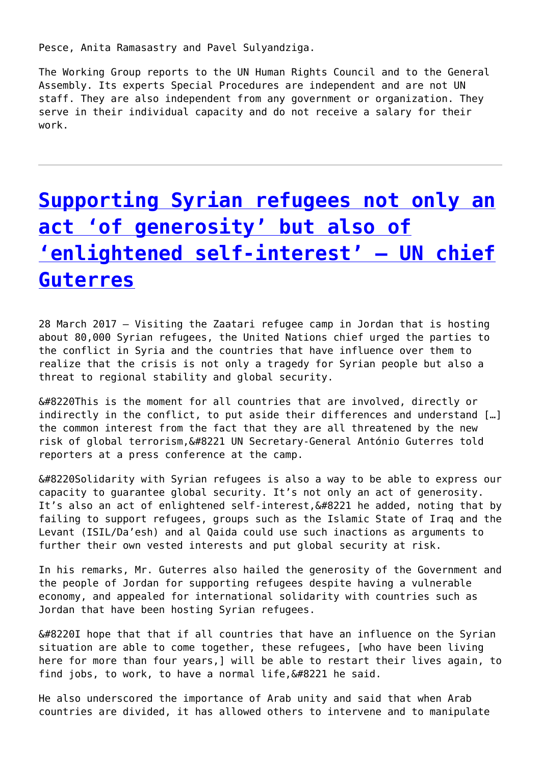Pesce, Anita Ramasastry and Pavel Sulyandziga.

The Working Group reports to the UN Human Rights Council and to the General Assembly. Its experts Special Procedures are independent and are not UN staff. They are also independent from any government or organization. They serve in their individual capacity and do not receive a salary for their work.

# **[Supporting Syrian refugees not only an](http://www.government-world.com/supporting-syrian-refugees-not-only-an-act-of-generosity-but-also-of-enlightened-self-interest-un-chief-guterres/) [act 'of generosity' but also of](http://www.government-world.com/supporting-syrian-refugees-not-only-an-act-of-generosity-but-also-of-enlightened-self-interest-un-chief-guterres/) ['enlightened self-interest' – UN chief](http://www.government-world.com/supporting-syrian-refugees-not-only-an-act-of-generosity-but-also-of-enlightened-self-interest-un-chief-guterres/) [Guterres](http://www.government-world.com/supporting-syrian-refugees-not-only-an-act-of-generosity-but-also-of-enlightened-self-interest-un-chief-guterres/)**

28 March 2017 – Visiting the Zaatari refugee camp in Jordan that is hosting about 80,000 Syrian refugees, the United Nations chief urged the parties to the conflict in Syria and the countries that have influence over them to realize that the crisis is not only a tragedy for Syrian people but also a threat to regional stability and global security.

 $\&\#8220$ This is the moment for all countries that are involved, directly or indirectly in the conflict, to put aside their differences and understand […] the common interest from the fact that they are all threatened by the new risk of global terrorism, &#8221 UN Secretary-General António Guterres told reporters at a press conference at the camp.

 $“$ Solidarity with Syrian refugees is also a way to be able to express our capacity to guarantee global security. It's not only an act of generosity. It's also an act of enlightened self-interest,  $\&\#8221$  he added, noting that by failing to support refugees, groups such as the Islamic State of Iraq and the Levant (ISIL/Da'esh) and al Qaida could use such inactions as arguments to further their own vested interests and put global security at risk.

In his remarks, Mr. Guterres also hailed the generosity of the Government and the people of Jordan for supporting refugees despite having a vulnerable economy, and appealed for international solidarity with countries such as Jordan that have been hosting Syrian refugees.

 $\&\#8220I$  hope that that if all countries that have an influence on the Syrian situation are able to come together, these refugees, [who have been living here for more than four years,] will be able to restart their lives again, to find jobs, to work, to have a normal life,  $\&\#8221$  he said.

He also underscored the importance of Arab unity and said that when Arab countries are divided, it has allowed others to intervene and to manipulate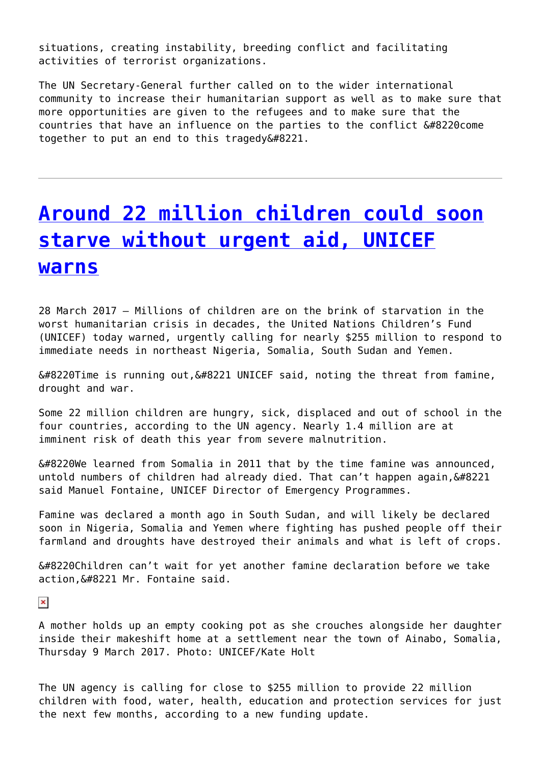situations, creating instability, breeding conflict and facilitating activities of terrorist organizations.

The UN Secretary-General further called on to the wider international community to increase their humanitarian support as well as to make sure that more opportunities are given to the refugees and to make sure that the countries that have an influence on the parties to the conflict  $“$ come together to put an end to this tragedy $”$ .

### **[Around 22 million children could soon](http://www.government-world.com/around-22-million-children-could-soon-starve-without-urgent-aid-unicef-warns/) [starve without urgent aid, UNICEF](http://www.government-world.com/around-22-million-children-could-soon-starve-without-urgent-aid-unicef-warns/) [warns](http://www.government-world.com/around-22-million-children-could-soon-starve-without-urgent-aid-unicef-warns/)**

28 March 2017 – Millions of children are on the brink of starvation in the worst humanitarian crisis in decades, the United Nations Children's Fund (UNICEF) today warned, urgently calling for nearly \$255 million to respond to immediate needs in northeast Nigeria, Somalia, South Sudan and Yemen.

 $“$ Time is running out, $”$  UNICEF said, noting the threat from famine, drought and war.

Some 22 million children are hungry, sick, displaced and out of school in the four countries, according to the UN agency. Nearly 1.4 million are at imminent risk of death this year from severe malnutrition.

 $“$ We learned from Somalia in 2011 that by the time famine was announced, untold numbers of children had already died. That can't happen again,  $\&\#8221$ said Manuel Fontaine, UNICEF Director of Emergency Programmes.

Famine was declared a month ago in South Sudan, and will likely be declared soon in Nigeria, Somalia and Yemen where fighting has pushed people off their farmland and droughts have destroyed their animals and what is left of crops.

 $“$ Children can't wait for yet another famine declaration before we take action, &#8221 Mr. Fontaine said.

 $\pmb{\times}$ 

A mother holds up an empty cooking pot as she crouches alongside her daughter inside their makeshift home at a settlement near the town of Ainabo, Somalia, Thursday 9 March 2017. Photo: UNICEF/Kate Holt

The UN agency is calling for close to \$255 million to provide 22 million children with food, water, health, education and protection services for just the next few months, according to a new funding update.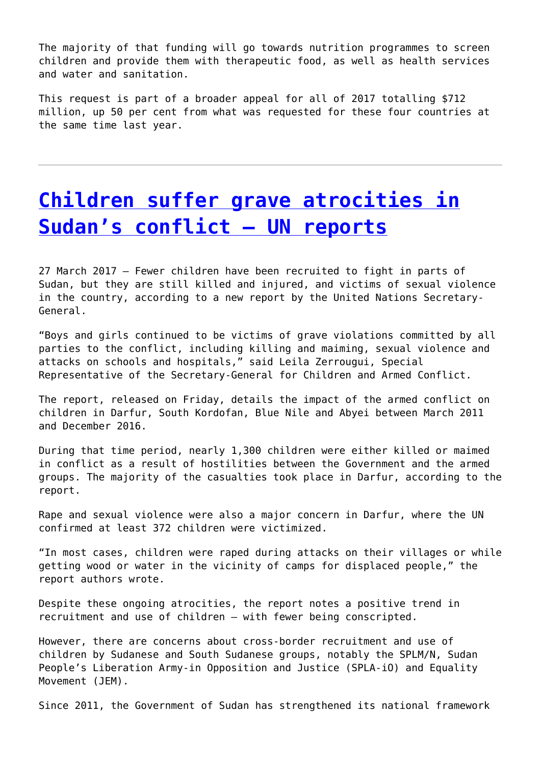The majority of that funding will go towards nutrition programmes to screen children and provide them with therapeutic food, as well as health services and water and sanitation.

This request is part of a broader appeal for all of 2017 totalling \$712 million, up 50 per cent from what was requested for these four countries at the same time last year.

### **[Children suffer grave atrocities in](http://www.government-world.com/children-suffer-grave-atrocities-in-sudans-conflict-un-reports/) [Sudan's conflict – UN reports](http://www.government-world.com/children-suffer-grave-atrocities-in-sudans-conflict-un-reports/)**

27 March 2017 – Fewer children have been recruited to fight in parts of Sudan, but they are still killed and injured, and victims of sexual violence in the country, according to a new report by the United Nations Secretary-General.

"Boys and girls continued to be victims of grave violations committed by all parties to the conflict, including killing and maiming, sexual violence and attacks on schools and hospitals," said Leila Zerrougui, Special Representative of the Secretary-General for Children and Armed Conflict.

The report, released on Friday, details the impact of the armed conflict on children in Darfur, South Kordofan, Blue Nile and Abyei between March 2011 and December 2016.

During that time period, nearly 1,300 children were either killed or maimed in conflict as a result of hostilities between the Government and the armed groups. The majority of the casualties took place in Darfur, according to the report.

Rape and sexual violence were also a major concern in Darfur, where the UN confirmed at least 372 children were victimized.

"In most cases, children were raped during attacks on their villages or while getting wood or water in the vicinity of camps for displaced people," the report authors wrote.

Despite these ongoing atrocities, the report notes a positive trend in recruitment and use of children – with fewer being conscripted.

However, there are concerns about cross-border recruitment and use of children by Sudanese and South Sudanese groups, notably the SPLM/N, Sudan People's Liberation Army-in Opposition and Justice (SPLA-iO) and Equality Movement (JEM).

Since 2011, the Government of Sudan has strengthened its national framework